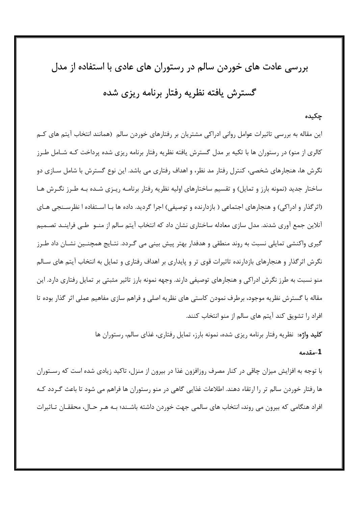بررسی عادت های خوردن سالم در رستوران های عادی با استفاده از مدل

# گسترش یافته نظریه رفتار برنامه ریزی شده

## چکیده

این مقاله به بررسی تاثیرات عوامل روانی ادراکی مشتریان بر رفتارهای خوردن سالم (همانند انتخاب آیتم های کــم کالری از منو) در رستوران ها با تکیه بر مدل گسترش یافته نظریه رفتار برنامه ریزی شده پرداخت کـه شـامل طـرز نگرش ها، هنجارهای شخصی، کنترل رفتار مد نظر، و اهداف رفتاری می باشد. این نوع گسترش با شامل ســازی دو ساختار جدید (نمونه بارز و تمایل) و تقسیم ساختارهای اولیه نظریه رفتار برنامـه ریـزی شـده بـه طـرز نگـرش هـا (اثر گذار و ادراکی) و هنجارهای اجتماعی ( بازدارنده و توصیفی) اجرا گردید. داده ها بـا اسـتفاده ا نظرسـنجی هـای آنلاین جمع آوری شدند. مدل سازی معادله ساختاری نشان داد که انتخاب آیتم سالم از منــو طــی فراینــد تصــمیم گیری واکنشی تمایلی نسبت به روند منطقی و هدفدار بهتر پیش بینی می گـردد. نتـایج همچنـین نشـان داد طـرز نگرش اثرگذار و هنجارهای بازدارنده تاثیرات قوی تر و پایداری بر اهداف رفتاری و تمایل به انتخاب آیتم های سـالم منو نسبت به طرز نگرش ادراکی و هنجارهای توصیفی دارند. وجهه نمونه بارز تاثیر مثبتی بر تمایل رفتاری دارد. این مقاله با گسترش نظریه موجود، برطرف نمودن کاستی های نظریه اصلی و فراهم سازی مفاهیم عملی اثر گذار بوده تا افراد را تشویق کند آیتم های سالم از منو انتخاب کنند.

**کلید واژه:** نظریه رفتار برنامه ریزی شده، نمونه بارز، تمایل رفتاری، غذای سالم، رستوران ها

#### 1-مقدمه

با توجه به افزایش میزان چاقی در کنار مصرف روزافزون غذا در بیرون از منزل، تاکید زیادی شده است که رســتوران ها رفتار خوردن سالم تر را ارتقاء دهند. اطلاعات غذایی گاهی در منو رستوران ها فراهم می شود تا باعث گـردد کـه افراد هنگامی که بیرون می روند، انتخاب های سالمی جهت خوردن داشته باشـند؛ بـه هـر حـال، محققـان تـاثیرات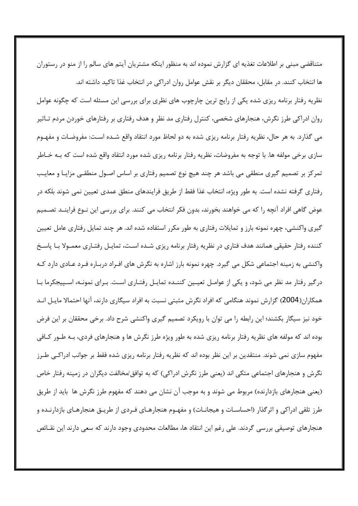متناقضی مبنی بر اطلاعات تغذیه ای گزارش نموده اند به منظور اینکه مشتریان آیتم های سالم را از منو در رستوران ها انتخاب کنند. در مقابل، محققان دیگر بر نقش عوامل روان ادراکی در انتخاب غذا تاکید داشته اند. نظریه رفتار برنامه ریزی شده یکی از رایج ترین چارچوب های نظری برای بررسی این مسئله است که چگونه عوامل روان ادراکی طرز نگرش، هنجارهای شخصی، کنترل رفتاری مد نظر و هدف رفتاری بر رفتارهای خوردن مردم تــاثیر می گذارد. به هر حال، نظریه رفتار برنامه ریزی شده به دو لحاظ مورد انتقاد واقع شـده اسـت: مفروضـات و مفهـوم سازی برخی مولفه ها. با توجه به مفروضات، نظریه رفتار برنامه ریزی شده مورد انتقاد واقع شده است که بـه خـاطر تمرکز بر تصمیم گیری منطقی می باشد هر چند هیچ نوع تصمیم رفتاری بر اساس اصـول منطقـی مزایـا و معایـب رفتاری گرفته نشده است. به طور ویژه، انتخاب غذا فقط از طریق فرایندهای منطق عمدی تعیین نمی شوند بلکه در عوض گاهی افراد آنچه را که می خواهند بخورند، بدون فکر انتخاب می کنند. برای بررسی این نـوع فراینــد تصــمیم گیری واکنشی، چهره نمونه بارز و تمایلات رفتاری به طور مکرر استفاده شده اند. هر چند تمایل رفتاری عامل تعیین کننده رفتار حقیقی همانند هدف فتاری در نظریه رفتار برنامه ریزی شـده اسـت، تمایـل رفتـاری معمـولا بـا پاسـخ واکنشی به زمینه اجتماعی شکل می گیرد. چهره نمونه بارز اشاره به نگرش های افـراد دربـاره فـرد عـادی دارد کـه درگیر رفتار مد نظر می شود، و یکی از عوامـل تعیـین کننـده تمایـل رفتـاری اسـت. بـرای نمونـه، اسـپیجکرما بـا همکاران(2004) گزارش نموند هنگامی که افراد نگرش مثبتی نسبت به افراد سیگاری دارند، آنها احتمالا مایـل انـد خود نیز سیگار بکشند؛ این رابطه را می توان با رویکرد تصمیم گیری واکنشی شرح داد. برخی محققان بر این فرض بوده اند که مولفه های نظریه رفتار برنامه ریزی شده به طور ویژه طرز نگرش ها و هنجارهای فردی، بـه طـور کـافی مفهوم سازی نمی شوند. منتقدین بر این نظر بوده اند که نظریه رفتار برنامه ریزی شده فقط بر جوانب ادراکـی طـرز نگرش و هنجارهای اجتماعی متکی اند (یعنی طرز نگرش ادراکی) که به توافق/مخالفت دیگران در زمینه رفتار خاص (یعنی هنجارهای بازدارنده) مربوط می شوند و به موجب آن نشان می دهند که مفهوم طرز نگرش ها باید از طریق طرز تلقی ادراکی و اثر گذار (احساسـات و هیجانـات) و مفهـوم هنجارهـای فـردی از طریـق هنجارهـای بازدارنــده و هنجارهای توصیفی بررسی گردند. علی رغم این انتقاد ها، مطالعات محدودی وجود دارند که سعی دارند این نقــائص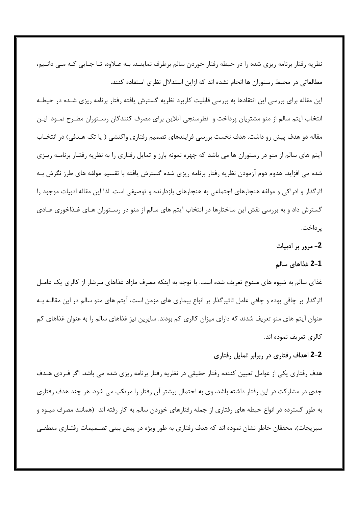نظریه رفتار برنامه ریزی شده را در حیطه رفتار خوردن سالم برطرف نماینـد. بـه عـلاوه، تـا جـایی کـه مـی دانـیم، مطالعاتی در محیط رستوران ها انجام نشده اند که ازاین استدلال نظری استفاده کنند. این مقاله برای بررسی این انتقادها به بررسی قابلیت کاربرد نظریه گسترش یافته رفتار برنامه ریزی شـده در حیطـه انتخاب آيتم سالم از منو مشتريان پرداخت و نظرسنجي آنلاين براي مصرف كنندگان رسـتوران مطـرح نمـود. ايـن مقاله دو هدف پیش رو داشت. هدف نخست بررسی فرایندهای تصمیم رفتاری واکنشی ( یا تک هـدفی) در انتخـاب آیتم های سالم از منو در رستوران ها می باشد که چهره نمونه بارز و تمایل رفتاری را به نظریه رفتـار برنامــه ریـزی شده می افزاید. هدوم دوم آزمودن نظریه رفتار برنامه ریزی شده گسترش یافته با تقسیم مولفه های طرز نگرش بـه اثرگذار و ادراکی و مولفه هنجارهای اجتماعی به هنجارهای بازدارنده و توصیفی است. لذا این مقاله ادبیات موجود را گسترش داد و به بررسی نقش این ساختارها در انتخاب آیتم های سالم از منو در رسـتوران هـای غـذاخوری عـادی پر داخت.

## 2- مرور بر ادبیات

## 2-1 غذاهای سالم

غذای سالم به شیوه های متنوع تعریف شده است. با توجه به اینکه مصرف مازاد غذاهای سرشار از کالری یک عامـل اثرگذار بر چاقی بوده و چاقی عامل تاثیرگذار بر انواع بیماری های مزمن است، آیتم های منو سالم در این مقالـه بـه عنوان آیتم های منو تعریف شدند که دارای میزان کالری کم بودند. سایرین نیز غذاهای سالم را به عنوان غذاهای کم كالري تعريف نموده اند.

# 2–2 اهداف رفتاری در ربرابر تمایل رفتاری

هدف رفتاری یکی از عوامل تعیین کننده رفتار حقیقی در نظریه رفتار برنامه ریزی شده می باشد. اگر فـردی هـدف جدی در مشارکت در این رفتار داشته باشد، وی به احتمال بیشتر آن رفتار را مرتکب می شود. هر چند هدف رفتاری به طور گسترده در انواع حیطه های رفتاری از جمله رفتارهای خوردن سالم به کار رفته اند (همانند مصرف میـوه و سبزیجات)، محققان خاطر نشان نموده اند که هدف رفتاری به طور ویژه در پیش بینی تصـمیمات رفتـاری منطقـی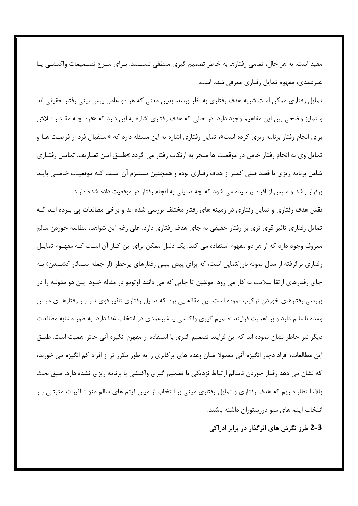مفید است. به هر حال، تمامی رفتارها به خاطر تصمیم گیری منطقی نیسـتند. بـرای شـرح تصـمیمات واکنشــی یـا غیرعمدی، مفهوم تمایل رفتاری معرفی شده است.

تمایل رفتاری ممکن است شبیه هدف رفتاری به نظر برسد، بدین معنی که هر دو عامل پیش بینی رفتار حقیقی اند و تمایز واضحی بین این مفاهیم وجود دارد. در حالی که هدف رفتاری اشاره به این دارد که «فرد چـه مقـدار تـلاش برای انجام رفتار برنامه ریزی کرده است»، تمایل رفتاری اشاره به این مسئله دارد که «استقبال فرد از فرصت هـا و تمایل وی به انجام رفتار خاص در موقعیت ها منجر به ارتکاب رفتار می گردد.»طبــق ایــن تعــاریف، تمایــل رفتــاری شامل برنامه ریزی یا قصد قبلی کمتر از هدف رفتاری بوده و همچنین مستلزم آن است کـه موقعیـت خاصـی بایـد برقرار باشد و سپس از افراد پرسیده می شود که چه تمایلی به انجام رفتار در موقعیت داده شده دارند.

نقش هدف رفتاری و تمایل رفتاری در زمینه های رفتار مختلف بررسی شده اند و برخی مطالعات پی بـرده انـد کـه تمایل رفتاری تاثیر قوی تری بر رفتار حقیقی به جای هدف رفتاری دارد. علی رغم این شواهد، مطالعه خوردن سالم معروف وجود دارد که از هر دو مفهوم استفاده می کند. یک دلیل ممکن برای این کـار آن اسـت کـه مفهـوم تمایـل رفتاری برگرفته از مدل نمونه بارز/تمایل است، که برای پیش بینی رفتارهای پرخطر (از جمله سـیگار کشـیدن) بـه جای رفتارهای ارتقا سلامت به کار می رود. مولفین تا جایی که می دانند اوتومو در مقاله خــود ایــن دو مقولــه را در بررسی رفتارهای خوردن ترکیب نموده است. این مقاله یی برد که تمایل رفتاری تاثیر قوی تـر بـر رفتارهـای میـان وعده ناسالم دارد و بر اهمیت فرایند تصمیم گیری واکنشی یا غیرعمدی در انتخاب غذا دارد. به طور مشابه مطالعات دیگر نیز خاطر نشان نموده اند که این فرایند تصمیم گیری با استفاده از مفهوم انگیزه آنی حائز اهمیت است. طبـق این مطالعات، افراد دچار انگیزه آنی معمولا میان وعده های پرکالری را به طور مکرر تر از افراد کم انگیزه می خورند، که نشان می دهد رفتار خوردن ناسالم ارتباط نزدیکی با تصمیم گیری واکنشی یا برنامه ریزی نشده دارد. طبق بحث بالا، انتظار داریم که هدف رفتاری و تمایل رفتاری مبنی بر انتخاب از میان آیتم های سالم منو تـاثیرات مثبتـی بـر انتخاب آیتم های منو دررستوران داشته باشند.

3–2 طرز نگرش های اثرگذار در برابر ادراکی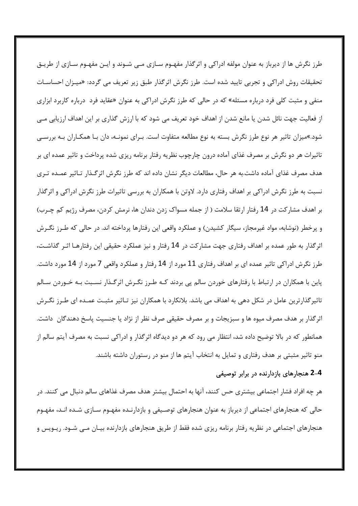طرز نگرش ها از دیرباز به عنوان مولفه ادراکی و اثرگذار مفهـوم سـازی مـی شـوند و ایـن مفهـوم سـازی از طریـق تحقیقات روش ادراکی و تجربی تایید شده است. طرز نگرش اثرگذار طبق زیر تعریف می گردد: «میـزان احساســات منفی و مثبت کلی فرد درباره مسئله» که در حالی که طرز نگرش ادراکی به عنوان «عقاید فرد درباره کاربرد ابزاری از فعالیت جهت نائل شدن یا مانع شدن از اهداف خود تعریف می شود که با ارزش گذاری بر این اهداف ارزیابی مــی شود.»میزان تاثیر هر نوع طرز نگرش بسته به نوع مطالعه متفاوت است. بـرای نمونـه، دان بـا همکـاران بـه بررســی تاثیرات هر دو نگرش بر مصرف غذای آماده درون چارچوب نظریه رفتار برنامه ریزی شده پرداخت و تاثیر عمده ای بر هدف مصرف غذای آماده داشت.به هر حال، مطالعات دیگر نشان داده اند که طرز نگرش اثرگـذار تـاثیر عمـده تـری نسبت به طرز نگرش ادراکی بر اهداف رفتاری دارد. لاوتن با همکاران به بررسی تاثیرات طرز نگرش ادراکی و اثرگذار بر اهدف مشارکت در 14 رفتار ارتقا سلامت ( از جمله مسواک زدن دندان ها، نرمش کردن، مصرف رژیم کم چـرب) و پرخطر (نوشابه، مواد غیرمجاز، سیگار کشیدن) و عملکرد واقعی این رفتارها پرداخته اند. در حالی که طـرز نگـرش اثرگذار به طور عمده بر اهداف رفتاری جهت مشارکت در 14 رفتار و نیز عملکرد حقیقی این رفتارهـا اثـر گذاشـت، طرز نگرش ادراکی تاثیر عمده ای بر اهداف رفتاری 11 مورد از 14 رفتار و عملکرد واقعی 7 مورد از 14 مورد داشت. پاین با همکاران در ارتباط با رفتارهای خوردن سالم یی بردند کـه طـرز نگـرش اثرگـذار نسـبت بـه خـوردن سـالم تاثیر گذار ترین عامل در شکل دهی به اهداف می باشد. بلانکارد با همکاران نیز تـاثیر مثبـت عمـده ای طـرز نگـرش اثرگذار بر هدف مصرف میوه ها و سبزیجات و بر مصرف حقیقی صرف نظر از نژاد یا جنسیت پاسخ دهندگان داشت. همانطور که در بالا توضیح داده شد، انتظار می رود که هر دو دیدگاه اثرگذار و ادراکی نسبت به مصرف آیتم سالم از منو تاثیر مثبتی بر هدف رفتاری و تمایل به انتخاب آیتم ها از منو در رستوران داشته باشند.

## 4-2 هنجارهای بازدارنده در برابر توصیفی

هر چه افراد فشار اجتماعی بیشتری حس کنند، آنها به احتمال بیشتر هدف مصرف غذاهای سالم دنبال می کنند. در حالی که هنجارهای اجتماعی از دیرباز به عنوان هنجارهای توصـیفی و بازدارنـده مفهـوم سـازی شـده انـد، مفهـوم هنجارهای اجتماعی در نظریه رفتار برنامه ریزی شده فقط از طریق هنجارهای بازدارنده بیـان مـی شـود. ریــویس و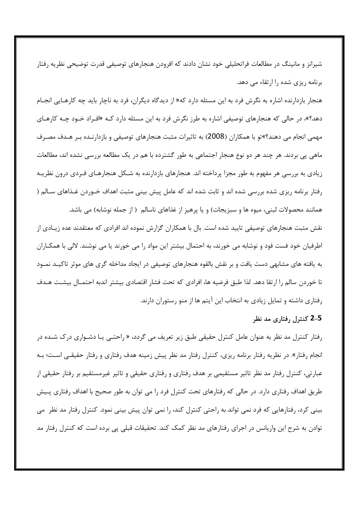شیرانز و مانینگ در مطالعات فراتحلیلی خود نشان دادند که افرودن هنجارهای توصیفی قدرت توضیحی نظریه رفتار برنامه ریزی شده را ارتقاء می دهد.

هنجار بازدارنده اشاره به نگرش فرد به این مسئله دارد که« از دیدگاه دیگران، فرد به ناچار باید چه کارهـایی انجـام دهد؟»، در حالی که هنجارهای توصیفی اشاره به طرز نگرش فرد به این مسئله دارد کـه «افـراد خـود چـه کارهـای مهمی انجام می دهند؟»تو با همکاران (2008) به تاثیرات مثبت هنجارهای توصیفی و بازدارنـده بـر هـدف مصـرف ماهی یی بردند. هر چند هر دو نوع هنجار اجتماعی به طور گشترده با هم در یک مطالعه بررسی نشده اند، مطالعات زیادی به بررسی هر مفهوم به طور مجزا پرداخته اند. هنجارهای بازدارنده به شـكل هنجارهـای فـردی درون نظریـه رفتار برنامه ریزی شده بررسی شده اند و ثابت شده اند که عامل پیش بینی مثبت اهداف خــوردن غــذاهای ســالم ( همانند محصولات لبنی، میوه ها و سبزیجات) و یا پرهیز از غذاهای ناسالم ( از جمله نوشابه) می باشد.

نقش مثبت هنجارهای توصیفی تایید شده است. بال با همکاران گزارش نموده اند افرادی که معتقدند عده زیــادی از اطرفیان خود فست فود و نوشابه می خورند، به احتمال بیشتر این مواد را می خورند یا می نوشند. لالی با همکـاران به یافته های مشابهی دست یافت و بر نقش بالقوه هنجارهای توصیفی در ایجاد مداخله گری های موثر تاکیـد نمـود تا خوردن سالم را ارتقا دهد. لذا طبق فرضيه ها، افرادي كه تحت فشار اقتصادي بيشتر اندبه احتمـال بيشـت هـدف رفتاری داشته و تمایل زیادی به انتخاب این آیتم ها از منو رستوران دارند.

## 5–2 کنترل رفتاری مد نظر

رفتار کنترل مد نظر به عنوان عامل کنترل حقیقی طبق زیر تعریف می گردد، « راحتــی یــا دشــواری درک شــده در انجام رفتار». در نظریه رفتار برنامه ریزی، کنترل رفتار مد نظر پیش زمینه هدف رفتاری و رفتار حقیقـی اسـت؛ بـه عبارتی، کنترل رفتار مد نظر تاثیر مستقیمی بر هدف رفتاری و رفتاری حقیقی و تاثیر غیرمستقیم بر رفتار حقیقی از طریق اهداف رفتاری دارد. در حالی که رفتارهای تحت کنترل فرد را می توان به طور صحیح با اهداف رفتاری پـیش بینی کرد، رفتارهایی که فرد نمی تواند به راحتی کنترل کند، را نمی توان پیش بینی نمود. کنترل رفتار مد نظر می توادن به شرح این واریانس در اجرای رفتارهای مد نظر کمک کند. تحقیقات قبلی پی برده است که کنترل رفتار مد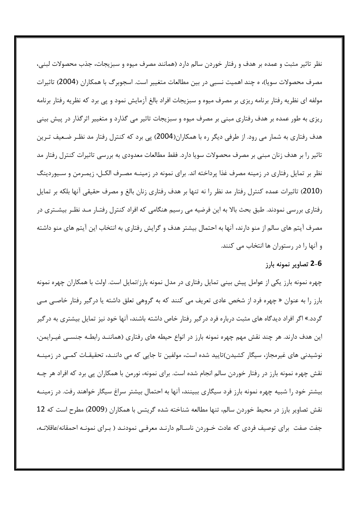نظر تاثیر مثبت و عمده بر هدف و رفتار خوردن سالم دارد (همانند مصرف میوه و سبزیجات، جذب محصولات لبنی، مصرف محصولات سویا)، ه چند اهمیت نسبی در بین مطالعات متغییر است. اسجوبرگ با همکاران (2004) تاثیرات مولفه ای نظریه رفتار برنامه ریزی بر مصرف میوه و سبزیجات افراد بالغ آزمایش نمود و پی برد که نظریه رفتار برنامه ریزی به طور عمده بر هدف رفتاری مبنی بر مصرف میوه و سبزیجات تاثیر می گذارد و متغییر اثرگذار در پیش بینی هدف رفتاری به شمار می رود. از طرفی دیگر ره با همکاران(2004) پی برد که کنترل رفتار مد نظـر ضـعیف تـرین تاثیر را بر هدف زنان مبنی بر مصرف محصولات سویا دارد. فقط مطالعات معدودی به بررسی تاثیرات کنترل رفتار مد نظر بر تمایل رفتاری در زمینه مصرف غذا پرداخته اند. برای نمونه در زمینــه مصـرف الکــل، زیمـرمن و ســیوردینگ (2010) تاثیرات عمده کنترل رفتار مد نظر را نه تنها بر هدف رفتاری زنان بالغ و مصرف حقیقی آنها بلکه بر تمایل رفتاری بررسی نمودند. طبق بحث بالا به این فرضیه می رسیم هنگامی که افراد کنترل رفتـار مـد نظـر بیشــتری در مصرف آیتم های سالم از منو دارند، آنها به احتمال بیشتر هدف و گرایش رفتاری به انتخاب این آیتم های منو داشته و آنها را در رستوران ها انتخاب می کنند.

## 6-2 تصاویر نمونه بارز

چهره نمونه بارز یکی از عوامل پیش بینی تمایل رفتاری در مدل نمونه بارز/تمایل است. اولت با همکاران چهره نمونه بارز را به عنوان « چهره فرد از شخص عادی تعریف می کنند که به گروهی تعلق داشته یا درگیر رفتار خاصبی مبی گردد.» اگر افراد دیدگاه های مثبت درباره فرد درگیر رفتار خاص داشته باشند، آنها خود نیز تمایل بیشتری به درگیر این هدف دارند. هر چند نقش مهم چهره نمونه بارز در انواع حیطه های رفتاری (هماننــد رابطــه جنســی غیــرایمن، نوشیدنی های غیرمجاز، سیگار کشیدن)تایید شده است، مولفین تا جایی که می داننـد، تحقیقـات کمـی در زمینـه نقش چهره نمونه بارز در رفتار خوردن سالم انجام شده است. برای نمونه، نورمن با همکاران پی برد که افراد هر چـه بیشتر خود را شبیه چهره نمونه بارز فرد سیگاری ببینند، آنها به احتمال بیشتر سراغ سیگار خواهند رفت. در زمینــه نقش تصاویر بارز در محیط خوردن سالم، تنها مطالعه شناخته شده گریتس با همکاران (2009) مطرح است که 12 جفت صفت برای توصیف فردی که عادت خـوردن ناسـالم دارنـد معرفـی نمودنـد ( بـرای نمونـه احمقانه/عاقلانـه،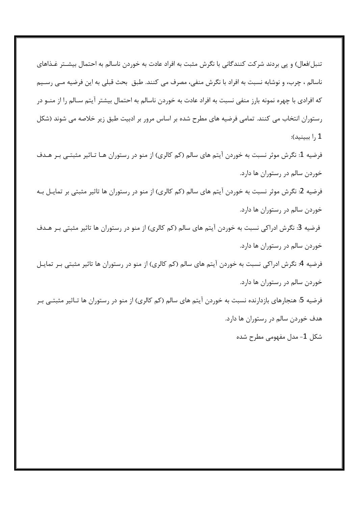تنبل/فعال) و یی بردند شرکت کنندگانی با نگرش مثبت به افراد عادت به خوردن ناسالم به احتمال بیشـتر غـذاهای ناسالم ، چرب، و نوشابه نسبت به افراد با نگرش منفی، مصرف می کنند. طبق بحث قبلی به این فرضیه مـی رســیم که افرادی با چهره نمونه بارز منفی نسبت به افراد عادت به خوردن ناسالم به احتمال بیشتر آیتم سـالم را از منــو در رستوران انتخاب می کنند. تمامی فرضیه های مطرح شده بر اساس مرور بر ادبیت طبق زیر خلاصه می شوند (شکل 1 را ببينيد):

فرضیه 1: نگرش موثر نسبت به خوردن آیتم های سالم (کم کالری) از منو در رستوران هـا تـاثیر مثبتــی بـر هـدف خوردن سالم در رستوران ها دارد. فرضیه 2: نگرش موثر نسبت به خوردن آیتم های سالم (کم کالری) از منو در رستوران ها تاثیر مثبتی بر تمایـل بـه

خوردن سالم در رستوران ها دارد.

فرضیه 3: نگرش ادراکی نسبت به خوردن آیتم های سالم (کم کالری) از منو در رستوران ها تاثیر مثبتی بـر هـدف خوردن سالم در رستوران ها دارد. فرضیه 4: نگرش ادراکی نسبت به خوردن آیتم های سالم (کم کالری) از منو در رستوران ها تاثیر مثبتی بـر تمایـل خوردن سالم در رستوران ها دارد. فرضیه 5: هنجارهای بازدارنده نسبت به خوردن آیتم های سالم (کم کالری) از منو در رستوران ها تـاثیر مثبتــی بـر هدف خوردن سالم در رستوران ها دارد.

شکل 1- مدل مفهومی مطرح شده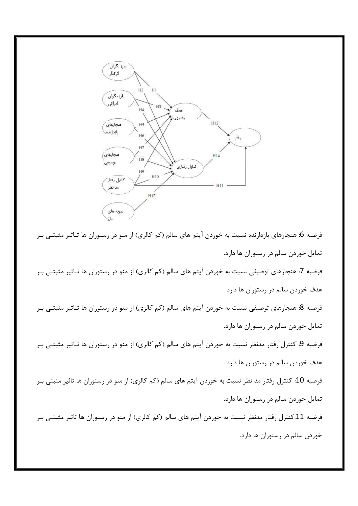

فرضیه 6: هنجارهای بازدارنده نسبت به خوردن آیتم های سالم (کم کالری) از منو در رستوران ها تـاثیر مثبتــی بـر تمایل خوردن سالم در رستوران ها دارد. فرضیه 7: هنجارهای توصیفی نسبت به خوردن آیتم های سالم (کم کالری) از منو در رستوران ها تـاثیر مثبتـی بـر هدف خوردن سالم در رستوران ها دارد. فرضیه 8: هنجارهای توصیفی نسبت به خوردن آیتم های سالم (کم کالری) از منو در رستوران ها تــاثیر مثبتــی بــر تمایل خوردن سالم در رستوران ها دارد. فرضیه 9: کنترل رفتار مدنظر نسبت به خوردن آیتم های سالم (کم کالری) از منو در رستوران ها تـاثیر مثبتـی بـر هدف خوردن سالم در رستوران ها دارد. فرضیه 10: کنترل رفتار مد نظر نسبت به خوردن آیتم های سالم (کم کالری) از منو در رستوران ها تاثیر مثبتی بـر تمایل خوردن سالم در رستوران ها دارد. فرضیه 11:کنترل رفتار مدنظر نسبت به خوردن آیتم های سالم (کم کالری) از منو در رستوران ها تاثیر مثبتـی بـر خوردن سالم در رستوران ها دارد.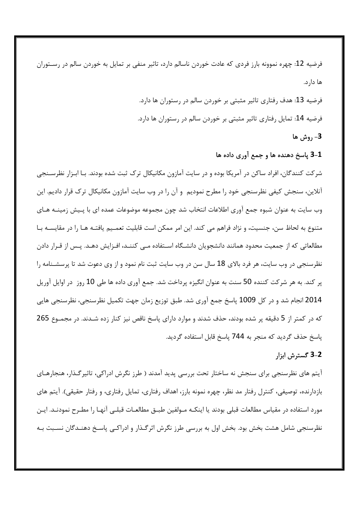فرضیه 12: چهره نموونه بارز فردی که عادت خوردن ناسالم دارد، تاثیر منفی بر تمایل به خوردن سالم در رسـتوران ها دارد. فرضیه 13: هدف رفتاری تاثیر مثبتی بر خوردن سالم در رستوران ها دارد. فرضیه 14: تمایل رفتاری تاثیر مثبتی بر خوردن سالم در رستوران ها دارد. 3- روش ها

## 3-1 پاسخ دهنده ها و جمع آوری داده ها

شر کت کنندگان، افراد ساکن در آمریکا بوده و در سایت آمازون مکانیکال ترک ثبت شده بودند. بـا ابـزار نظرســنجی آنلاین، سنجش کیفی نظرسنجی خود را مطرح نمودیم و آن را در وب سایت آمازون مکانیکال ترک قرار دادیم. این وب سایت به عنوان شبوه جمع آوری اطلاعات انتخاب شد چون مجموعه موضوعات عمده ای با پـیش زمینــه هــای متنوع به لحاظ سن، جنسیت، و نژاد فراهم می کند. این امر ممکن است قابلیت تعمـیم یافتـه هـا را در مقایســه بـا مطالعاتی که از جمعیت محدود همانند دانشجویان دانشـگاه اسـتفاده مـی کننــد، افـزایش دهــد. پـس از قـرار دادن نظرسنجی در وب سایت، هر فرد بالای 18 سال سن در وب سایت ثبت نام نمود و از وی دعوت شد تا پرسشـنامه را پر کند. به هر شرکت کننده 50 سنت به عنوان انگیزه پرداخت شد. جمع آوری داده ها طی 10 روز در اوایل آوریل 2014 انجام شد و در کل 1009 پاسخ جمع آوری شد. طبق توزیع زمان جهت تکمیل نظرسنجی، نظرسنجی هایی که در کمتر از 5 دقیقه پر شده بودند، حذف شدند و موارد دارای پاسخ ناقص نیز کنار زده شـدند. در مجمــوع 265 پاسخ حذف گردید که منجر به 744 پاسخ قابل استفاده گردید.

## 2-3 گسترش ابزار

آیتم های نظرسنجی برای سنجش نه ساختار تحت بررسی پدید آمدند ( طرز نگرش ادراکی، تاثیرگـذار، هنجارهـای بازدارنده، توصیفی، کنترل رفتار مد نظر، چهره نمونه بارز، اهداف رفتاری، تمایل رفتاری، و رفتار حقیقی). آیتم های مورد استفاده در مقیاس مطالعات قبلی بودند یا اینکـه مـولفین طبـق مطالعـات قبلـی آنهـا را مطـرح نمودنـد. ایـن نظرسنجی شامل هشت بخش بود. بخش اول به بررسی طرز نگرش اثرگـذار و ادراکـی پاسـخ دهنـدگان نسـبت بـه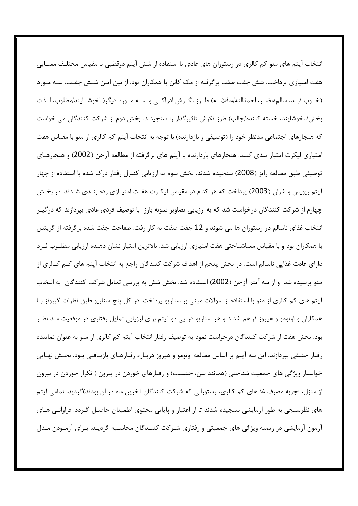انتخاب آیتم های منو کم کالری در رستوران های عادی با استفاده از شش آیتم دوقطبی با مقیاس مختلـف معنــایی هفت امتیازی پرداخت. شش جفت صفت برگرفته از مک کانن با همکاران بود. از بین ایـن شـش جفـت، سـه مـورد (خــوب /بــد، سالم/مضــر، احمقالنه/عاقلانــه) طــرز نگــرش ادراكــي و ســه مــورد ديگر(ناخوشــايند/مطلوب، لــذت بخش/ناخوشایند، خسته کننده/جالب) طرز نگرش تاثیرگذار را سنجیدند. بخش دوم از شرکت کنندگان می خواست که هنجارهای اجتماعی مدنظر خود را (توصیفی و بازدارنده) با توجه به انتحاب آیتم کم کالری از منو با مقیاس هفت امتیازی لیکرت امتیاز بندی کنند. هنجارهای بازدارنده با آیتم های برگرفته از مطالعه آزجن (2002) و هنجارهـای توصیفی طبق مطالعه رایز (2008) سنجیده شدند. بخش سوم به ارزیابی کنترل رفتار درک شده با استفاده از چهار آیتم ریویس و شران (2003) پرداخت که هر کدام در مقیاس لیکـرت هفـت امتیـازی رده بنـدی شـدند .در بخـش چهارم از شرکت کنندگان درخواست شد که به ارزیابی تصاویر نمونه بارز با توصیف فردی عادی بپردازند که درگیـر انتخاب غذای ناسالم در رستوران ها می شوند و 12 جفت صفت به کار رفت. صفاحت جفت شده برگرفته از گریتس با همکاران بود و با مقیاس معناشناختی هفت امتیازی ارزیابی شد. بالاترین امتیاز نشان دهنده ارزیابی مطلـوب فـرد دارای عادت غذایی ناسالم است. در بخش پنجم از اهداف شرکت کنندگان راجع به انتخاب آیتم های کـم کـالری از منو پرسیده شد و از سه آیتم آزجن (2002) استفاده شد. بخش شش به بررسی تمایل شرکت کنندگان به انتخاب آیتم های کم کالری از منو با استفاده از سوالات مبنی بر سناریو پرداخت. در کل پنج سناریو طبق نظرات گیبونز بـا همکاران و اوتومو و هیروز فراهم شدند و هر سناریو در پی دو آیتم برای ارزیابی تمایل رفتاری در موقعیت مـد نظـر بود. بخش هفت از شرکت کنندگان درخواست نمود به توصیف رفتار انتخاب آیتم کم کالری از منو به عنوان نماینده رفتار حقیقی بپردازند. این سه آیتم بر اساس مطالعه اوتومو و هیروز دربـاره رفتارهـای بازیـافتی بـود. بخـش نهـایی خواستار ویژگی های جمعیت شناختی (همانند سن، جنسیت) و رفتارهای خوردن در بیرون ( تکرار خوردن در بیرون از منزل، تجربه مصرف غذاهای کم کالری، رستورانی که شرکت کنندگان آخرین ماه در ان بودند)گردید. تمامی آیتم های نظرسنجی به طور آزمایشی سنجیده شدند تا از اعتبار و پایایی محتوی اطمینان حاصـل گـردد. فراوانـی هـای آزمون آزمایشی در زیمنه ویژگی های جمعیتی و رفتاری شـرکت کننـدگان محاسـبه گردیـد. بـرای آزمـودن مـدل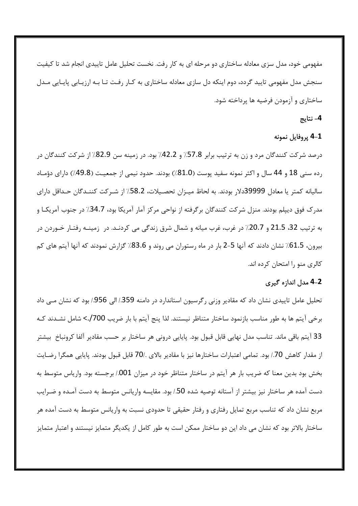مفهومی خود، مدل سزی معادله ساختاری دو مرحله ای به کار رفت. نخست تحلیل عامل تاییدی انجام شد تا کیفیت سنجش مدل مفهومی تایید گردد، دوم اینکه دل سازی معادله ساختاری به کـار رفـت تـا بـه ارزیـابی پایـایی مـدل ساختاری و آزمودن فرضیه ها پرداخته شود.

## 4– نتايج

## 4-1 پروفايل نمونه

درصد شرکت کنندگان مرد و زن به ترتیب برابر 57.8٪ و 42.2٪ بود. در زمینه سن 82.9٪ از شرکت کنندگان در رده سنی 18 و 44 سال و اکثر نمونه سفید پوست (81.0٪) بودند. حدود نیمی از جمعیـت (49.8٪) دارای دؤمـاد سالیانه کمتر یا معادل 39999دلار بودند. به لحاظ میـزان تحصـیلات، 58.2٪ از شـرکت کننـدگان حـداقل دارای مدرک فوق دیپلم بودند. منزل شرکت کنندگان برگرفته از نواحی مرکز آمار آمریکا بود، 34.7٪ در جنوب آمریکـا و به ترتیب 32، 21.5 و 20.7٪ در غرب، غرب میانه و شمال شرق زندگی می کردنـد. در زمینـه رفتـار خـوردن در بیرون، 61.5٪ نشان دادند که آنها 5–2 بار در ماه رستوران می روند و 83.6٪ گزارش نمودند که آنها آیتم های کم كالري منو را امتحان كرده اند.

#### 2-4 مدل اندازه گیری

تحلیل عامل تاییدی نشان داد که مقادیر وزنی رگرسیون استاندارد در دامنه 359./ الی 956./ بود که نشان مـی داد برخی آیتم ها به طور مناسب بازنمود ساختار متناظر نیستند. لذا پنج آیتم با بار ضریب 700/.> شامل نشـدند کـه 33 آيتم باقي ماند. تناسب مدل نهايي قابل قبول بود. پايايي دروني هر ساختار بر حسب مقادير آلفا كرونباخ بيشتر از مقدار كاهش 70./ بود. تمامي اعتبارات ساختارها نيز با مقادير بالاي ./70 قابل قبول بودند. پايايي همگرا رضـايت بخش بود بدین معنا که ضریب بار هر آیتم در ساختار متناظر خود در میزان 001./ برجسته بود. واریاس متوسط به دست آمده هر ساختار نیز بیشتر از آستانه توصیه شده 50٪ بود. مقایسه واریانس متوسط به دست آمـده و ضـرایب مربع نشان داد که تناسب مربع تمایل رفتاری و رفتار حقیقی تا حدودی نسبت به واریانس متوسط به دست آمده هر ساختار بالاتر بود که نشان می داد این دو ساختار ممکن است به طور کامل از یکدیگر متمایز نیستند و اعتبار متمایز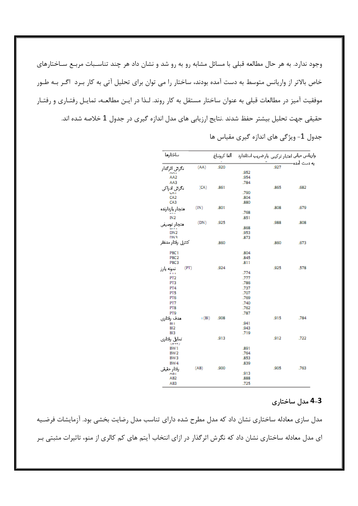وجود ندارد. به هر حال مطالعه قبلی با مسائل مشابه رو به رو شد و نشان داد هر چند تناسـبات مربـع سـاختارهای خاص بالاتر از واریانس متوسط به دست آمده بودند، ساختار را می توان برای تحلیل آتی به کار بـرد اگـر بـه طـور موفقیت آمیز در مطالعات قبلی به عنوان ساختار مستقل به کار روند. لـذا در ایـن مطالعـه، تمایـل رفتـاری و رفتـار حقیقی جهت تحلیل بیشتر حفظ شدند .نتایج ارزیابی های مدل اندازه گیری در جدول 1 خلاصه شده اند.

جدول 1- ویژگی های اندازه گیری مقیاس ها

| بباختارها                 |        |      |              | واريانس مياني اعتبار تركيبي يارضريب استاندارد – ألفا كرونباغ |      |
|---------------------------|--------|------|--------------|--------------------------------------------------------------|------|
| نگرش اثرگدار              | (AA)   | .920 |              |                                                              |      |
|                           |        |      | .952         |                                                              |      |
| AA2                       |        |      | .954         |                                                              |      |
| AA3                       |        |      | .784         |                                                              |      |
| نگرتی ادراکی              | (CA)   | .861 |              | .865                                                         | .682 |
| <b>UHI</b>                |        |      | .790         |                                                              |      |
| CA <sub>2</sub>           |        |      | .804         |                                                              |      |
| CA3                       |        |      | .880         |                                                              |      |
| متجار بازدارنده           | (IN)   | .801 |              | .808                                                         | .679 |
| IN2                       |        |      | .768         |                                                              |      |
|                           | (DN)   | .925 | .851         | .988                                                         | .808 |
| هنجار توسيفي              |        |      | .868         |                                                              |      |
| DN <sub>2</sub>           |        |      | .953         |                                                              |      |
| DN3                       |        |      | .873         |                                                              |      |
| كتترل رقتار مدنظر         |        | .860 |              | .860                                                         | .673 |
| PBC <sub>1</sub>          |        |      | .804         |                                                              |      |
| PBC <sub>2</sub>          |        |      | .845         |                                                              |      |
| PBC3                      |        |      | .811         |                                                              |      |
| (PT)<br>نمونه بارز        |        | .924 |              | .925                                                         | .578 |
| $F + 1$                   |        |      | .774         |                                                              |      |
| PT <sub>2</sub>           |        |      | .777         |                                                              |      |
| PT3                       |        |      | .786         |                                                              |      |
| PT4                       |        |      | .737         |                                                              |      |
| PT5                       |        |      | .707         |                                                              |      |
| PT6                       |        |      | .769         |                                                              |      |
| PT7<br>PT8                |        |      | .740<br>.762 |                                                              |      |
| PT9                       |        |      | .787         |                                                              |      |
|                           | ı (BI) | .908 |              | .915                                                         | .784 |
| هدف رقتارى<br><b>BI</b> I |        |      | .941         |                                                              |      |
| B <sub>12</sub>           |        |      | .943         |                                                              |      |
| BI3                       |        |      | .719         |                                                              |      |
| كمايل رقتاري              |        | .913 |              | .912                                                         | .722 |
| (DW)<br>BW <sub>1</sub>   |        |      | .891         |                                                              |      |
| BW <sub>2</sub>           |        |      | .764         |                                                              |      |
| BW <sub>3</sub>           |        |      | .853         |                                                              |      |
| BW4                       |        |      | .839         |                                                              |      |
| رقتار حقيقى               | (AB)   | .900 |              | .905                                                         | .763 |
| AD1                       |        |      | .913         |                                                              |      |
| AB2                       |        |      | .888         |                                                              |      |
| AB3                       |        |      | .725         |                                                              |      |

## 4-3 مدل ساختاری

مدل سازی معادله ساختاری نشان داد که مدل مطرح شده دارای تناسب مدل رضایت بخشی بود. آزمایشات فرضـیه ای مدل معادله ساختاری نشان داد که نگرش اثرگذار در ازای انتخاب آیتم های کم کالری از منو، تاثیرات مثبتی بـر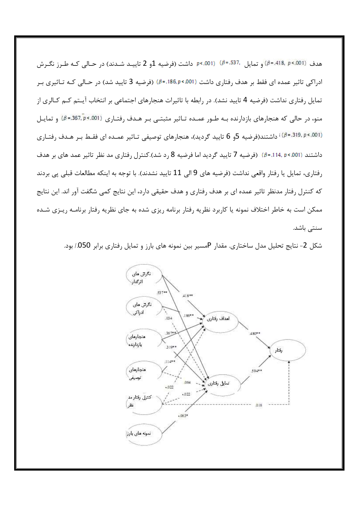هدف (901.>e=.418, p=.418) و تمايل 537.=β) (901.>e=.001) داشت (فرضيه 1و 2 تاييـد شـدند) در حـالي كـه طـرز نگـرش ادراکی تاثیر عمده ای فقط بر هدف رفتاری داشت (001×186,p). (فرضیه 3 تایید شد) در حـالی کـه تـاثیری بـر تمایل رفتاری نداشت (فرضیه 4 تایید نشد). در رابطه با تاثیرات هنجارهای اجتماعی بر انتخاب آیـتم کـم کـالری از منو، در حالی که هنجارهای بازدارنده بـه طـور عمـده تـاثیر مثبتـی بـر هـدف رفتـاری (857.p<.367.p) و تمایـل (β=.319, p<.001) ایستند(فرضیه 5و 6 تایید گردید)، هنجارهای توصیفی تـاثیر عمـده ای فقـط بـر هـدف رفتـاری داشتند (001.>r =.114. p). (فرضيه 7 تاييد گرديد اما فرضيه 8 رد شد).كنترل رفتاري مد نظر تاثير عمد هاي بر هدف رفتاري، تمايل يا رفتار واقعي نداشت (فرضيه هاي 9 الي 11 تاييد نشدند). با توجه به اينكه مطالعات قبلي پي بردند که کنترل رفتار مدنظر تاثیر عمده ای بر هدف رفتاری و هدف حقیقی دارد، این نتایج کمی شگفت آور اند. این نتایج ممکن است به خاطر اختلاف نمونه یا کاربرد نظریه رفتار برنامه ریزی شده به جای نظریه رفتار برنامـه ریـزی شـده سنتی باشد.

شکل 2- نتایج تحلیل مدل ساختاری. مقدار Pمسیر بین نمونه های بارز و تمایل رفتاری برابر 050/ بود.

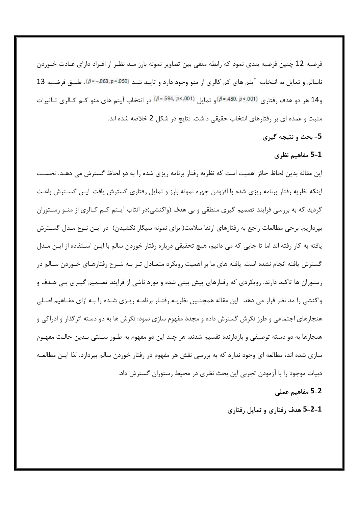فرضیه 12 چنین فرضیه بندی نمود که رابطه منفی بین تصاویر نمونه بارز مـد نظـر از افـراد دارای عـادت خـوردن ناسالم و تمایل به انتخاب آیتم های کم کالری از منو وجود دارد و تایید شـد (50.5-65,p=.050). طبـق فرضـیه 13 و 14 هر دو هدف رفتاري (<sup>8=.480, p<.001)</sup>و تمايل (<sup>8=.594, p<.001) در انتخاب آيتم هاي منو كــم كـالري تـاثيرات</sup> مثبت و عمده ای بر رفتارهای انتخاب حقیقی داشت. نتایج در شکل 2 خلاصه شده اند.

## 5- بحث و نتيجه گيري

## 5-1 مفاهیم نظری

این مقاله بدین لحاظ حائز اهمیت است که نظریه رفتار برنامه ریزی شده را به دو لحاظ گسترش می دهـد. نخسـت اینکه نظریه رفتار برنامه ریزی شده با افزودن چهره نمونه بارز و تمایل رفتاری گسترش یافت. ایـن گســترش باعـث گردید که به بررسی فرایند تصمیم گیری منطقی و بی هدف (واکنشی)در انتاب آیــتم کــم کــالری از منــو رســتوران بپردازیم. برخی مطالعات راجع به رفتارهای ارتقا سلامت( برای نمونه سیگار نکشیدن) در ایـن نـوع مـدل گســترش یافته به کار رفته اند اما تا جایی که می دانیم، هیچ تحقیقی درباره رفتار خوردن سالم با ایـن اسـتفاده از ایـن مـدل گسترش یافته انجام نشده است. یافته های ما بر اهمیت رویکرد متعـادل تـر بـه شـرح رفتارهـای خـوردن سـالم در رستوران ها تاکید دارند. رویکردی که رفتارهای پیش بینی شده و مورد ناشی از فرایند تصـمیم گیـری بـی هـدف و واکنشی را مد نظر قرار می دهد. این مقاله همچنــین نظریــه رفتـار برنامــه ریـزی شــده را بــه ازای مفــاهیم اصـلی هنجارهای اجتماعی و طرز نگرش گسترش داده و مجدد مفهوم سازی نمود: نگرش ها به دو دسته اثرگذار و ادراکی و هنجارها به دو دسته توصیفی و بازدارنده تقسیم شدند. هر چند این دو مفهوم به طــور ســنتی بــدین حالـت مفهــوم سازی شده اند، مطالعه ای وجود ندارد که به بررسی نقش هر مفهوم در رفتار خوردن سالم بپردازد. لذا ایـن مطالعـه دبیات موجود را با آزمودن تجربی این بحث نظری در محیط رستوران گسترش داد.

## 2-5 مفاهيم عملي

4-2-5 هدف رفتاری و تمایل رفتاری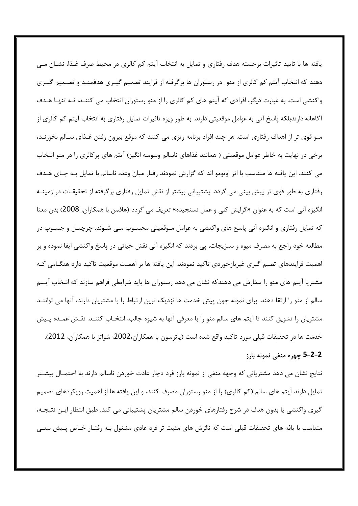یافته ها با تایید تاثیرات برجسته هدف رفتاری و تمایل به انتخاب آیتم کم کالری در محیط صرف غـذا، نشــان مــی دهند که انتخاب آیتم کم کالری از منو در رستوران ها برگرفته از فرایند تصمیم گیـری هدفمنـد و تصـمیم گیـری واکنشی است. به عبارت دیگر، افرادی که آیتم های کم کالری را از منو رستوران انتخاب می کننــد، نــه تنهـا هــدف آگاهانه دارندبلکه پاسخ آنی به عوامل موقعیتی دارند. به طور ویژه تاثیرات تمایل رفتاری به انتخاب آیتم کم کالری از منو قوی تر از اهداف رفتاری است. هر چند افراد برنامه ریزی می کنند که موقع بیرون رفتن غـذای سـالم بخورنـد، برخی در نهایت به خاطر عوامل موقعیتی ( همانند غذاهای ناسالم وسوسه انگیز) آیتم های پر کالری را در منو انتخاب می کنند. این یافته ها متناسب با اثر اوتومو اند که گزارش نمودند رفتار میان وعده ناسالم با تمایل بـه جـای هـدف رفتاری به طور قوی تر پیش بینی می گردد. پشتیبانی بیشتر از نقش تمایل رفتاری برگرفته از تحقیقـات در زمینــه انگیزه آنی است که به عنوان «گرایش کلی و عمل نسنجیده» تعریف می گردد (هافمن با همکاران، 2008) بدن معنا که تمایل رفتاری و انگیزه آنی پاسخ های واکنشی به عوامل مـوقعیتی محسـوب مـی شـوند. چرچیـل و جسـوپ در مطالعه خود راجع به مصرف میوه و سبزیجات، پی بردند که انگیزه آنی نقش حیاتی در پاسخ واکنشی ایفا نموده و بر اهمیت فرایندهای تصیم گیری غیربازخوردی تاکید نمودند. این یافته ها بر اهمیت موقعیت تاکید دارد هنگـامی کـه مشتریا آیتم های منو را سفارش می دهندکه نشان می دهد رستوران ها باید شرایطی فراهم سازند که انتخاب آیـتم سالم از منو را ارتقا دهند. برای نمونه چون پیش خدمت ها نزدیک ترین ارتباط را با مشتریان دارند، آنها می تواننــد مشتریان را تشویق کنند تا آیتم های سالم منو را با معرفی آنها به شیوه جالب، انتخـاب کننـد. نقـش عمـده پـیش خدمت ها در تحقيقات قبلي مورد تاكيد واقع شده است (پاترسون با همكاران،2002؛ شواتز با همكاران، 2012).

# 2–2–5 چهره منفي نمونه بارز

نتایج نشان می دهد مشتریانی که وجهه منفی از نمونه بارز فرد دچار عادت خوردن ناسالم دارند به احتمـال بیشـتر تمایل دارند آیتم های سالم (کم کالری) را از منو رستوران مصرف کنند، و این یافته ها از اهمیت رویکردهای تصمیم گیری واکنشی یا بدون هدف در شرح رفتارهای خوردن سالم مشتریان پشتیبانی می کند. طبق انتظار ایـن نتیجـه، متناسب با یافه های تحقیقات قبلی است که نگرش های مثبت تر فرد عادی مشغول بـه رفتـار خـاص پـیش بینـی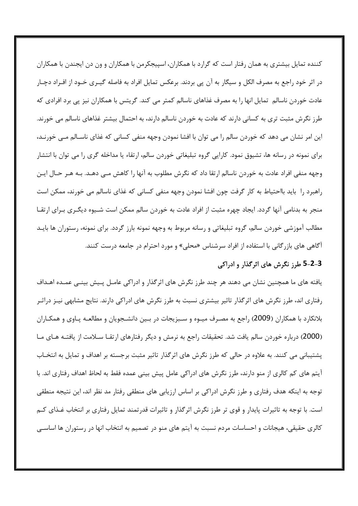کننده تمایل بیشتری به همان رفتار است که گرارد با همکاران، اسپیجکرمن با همکاران و ون دن ایجندن با همکاران در اثر خود راجع به مصرف الكل و سيگار به آن پي بردند. برعكس تمايل افراد به فاصله گيــري خــود از افــراد دچــار عادت خوردن ناسالم تمایل انها را به مصرف غذاهای ناسالم کمتر می کند. گریتس با همکاران نیز پی برد افرادی که طرز نگرش مثبت تری به کسانی دارند که عادت به خوردن ناسالم دارند، به احتمال بیشتر غذاهای ناسالم می خورند. این امر نشان می دهد که خوردن سالم را می توان با افشا نمودن وجهه منفی کسانی که غذای ناسـالم مـی خورنـد، برای نمونه در رسانه ها، تشیوق نمود. کارایی گروه تبلیغاتی خوردن سالم، ارتقاء یا مداخله گری را می توان با انتشار وجهه منفی افراد عادت به خوردن ناسالم ارتقا داد که نگرش مطلوب به آنها را کاهش مـی دهـد. بـه هـر حـال ایـن راهبرد را باید بااحتیاط به کار گرفت چون افشا نمودن وجهه منفی کسانی که غذای ناسالم می خورند، ممکن است منجر به بدنامی آنها گردد. ایجاد چهره مثبت از افراد عادت به خوردن سالم ممکن است شـیوه دیگـری بـرای ارتقــا مطالب آموزشی خوردن سالم، گروه تبلیغاتی و رسانه مربوط به وجهه نمونه بارز گردد. برای نمونه، رستوران ها بایـد آگاهی های بازر گانی با استفاده از افراد سرشناس «محلی» و مورد احترام در جامعه درست کنند.

## 3-2-5 طرز نگرش های اثرگذار و ادراکی

یافته های ما همچنین نشان می دهند هر چند طرز نگرش های اثرگذار و ادراکی عامـل پـیش بینـی عمـده اهـداف رفتاری اند، طرز نگرش های اثر گذار تاثیر بیشتری نسبت به طرز نگرش های ادراکی دارند. نتایج مشابهی نیــز دراثـر بلانکارد با همکاران (2009) راجع به مصـرف میـوه و سـبزیجات در بـین دانشـجویان و مطالعـه پـاوی و همکـاران (2000) درباره خوردن سالم يافت شد. تحقيقات راجع به نرمش و ديگر رفتارهاي ارتقــا ســلامت از يافتــه هــاي مــا پشتیبانی می کنند. به علاوه در حالی که طرز نگرش های اثرگذار تاثیر مثبت برجسته بر اهداف و تمایل به انتخـاب آيتم هاي كم كالري از منو دارند، طرز نگرش هاي ادراكي عامل پيش بيني عمده فقط به لحاظ اهداف رفتاري اند. با توجه به اینکه هدف رفتاری و طرز نگرش ادراکی بر اساس ارزیابی های منطقی رفتار مد نظر اند، این نتیجه منطقی است. با توجه به تاثیرات پایدار و قوی تر طرز نگرش اثرگذار و تاثیرات قدرتمند تمایل رفتاری بر انتخاب غـذای کـم کالری حقیقی، هیجانات و احساسات مردم نسبت به آیتم های منو در تصمیم به انتخاب انها در رستوران ها اساســی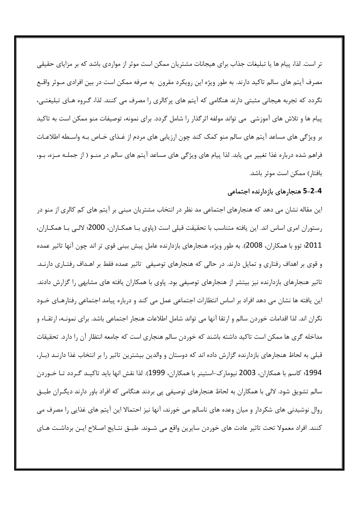تر است. لذا، پیام ها یا تبلیغات جذاب برای هیجانات مشتریان ممکن است موثر از مواردی باشد که بر مزایای حقیقی مصرف آیتم های سالم تاکید دارند. به طور ویژه این رویکرد مقرون به صرفه ممکن است در بین افرادی مـوثر واقـع نگردد که تجربه هیجانی مثبتی دارند هنگامی که آیتم های پرکالری را مصرف می کنند. لذا، گـروه هـای تبلیغتـی، پیام ها و تلاش های آموزشی می تواند مولفه اثر گذار را شامل گردد. برای نمونه، توصیفات منو ممکن است به تاکید بر ویژگی های مساعد آیتم های سالم منو کمک کند چون ارزیابی های مردم از غـذای خـاص بـه واسـطه اطلاعـات فراهم شده درباره غذا تغییر می پابد. لذا پیام های ویژگی های مساعد آیتم های سالم در منـو ( از جملـه مـزه، بـو، بافتار) ممكن است موثر باشد.

#### 4–2–5 هنجارهای بازدارنده اجتماعی

این مقاله نشان می دهد که هنجارهای اجتماعی مد نظر در انتخاب مشتریان مبنی بر آیتم های کم کالری از منو در رستوران امری اساس اند. این یافته متناسب با تحقیقت قبلی است (پاوی بـا همکـاران، 2000؛ لالـی بـا همکـاران، 2011؛ توو با همکاران، 2008). به طور ویژه، هنجارهای بازدارنده عامل پیش بینی قوی تر اند چون آنها تاثیر عمده و قوی بر اهداف رفتاری و تمایل دارند. در حالی که هنجارهای توصیفی تاثیر عمده فقط بر اهـداف رفتـاری دارنـد. تاثیر هنجارهای بازدارنده نیز بیتشر از هنجارهای توصیفی بود. پاوی با همکاران یافته های مشابهی را گزارش دادند. این یافته ها نشان می دهد افراد بر اساس انتظارات اجتماعی عمل می کند و درباره پیامد اجتماعی رفتارهـای خـود نگران اند. لذا اقدامات خوردن سالم و ارتقا آنها می تواند شامل اطلاعات هنجار اجتماعی باشد. برای نمونــه، ارتقــاء و مداخله گری ها ممکن است تاکید داشته باشند که خوردن سالم هنجاری است که جامعه انتظار آن را دارد. تحقیقات قبلی به لحاظ هنجارهای بازدارنده گزارش داده اند که دوستان و والدین بیشترین تاثیر را بر انتخاب غذا دارنـد (بـار، 1994؛ كاسم با همكاران، 2003 نيومارك-استينر با همكاران، 1999). لذا نقش انها بايد تاكيـد گـردد تـا خـوردن سالم تشویق شود. لالی با همکاران به لحاظ هنجارهای توصیفی پی بردند هنگامی که افراد باور دارند دیگـران طبـق روال نوشیدنی های شکردار و میان وعده های ناسالم می خورند، آنها نیز احتمالا این آیتم های غذایی را مصرف می كنند. افراد معمولا تحت تاثير عادت هاي خوردن سايرين واقع مي شــوند. طبــق نتــايج اصــلاح ايــن برداشــت هــاي